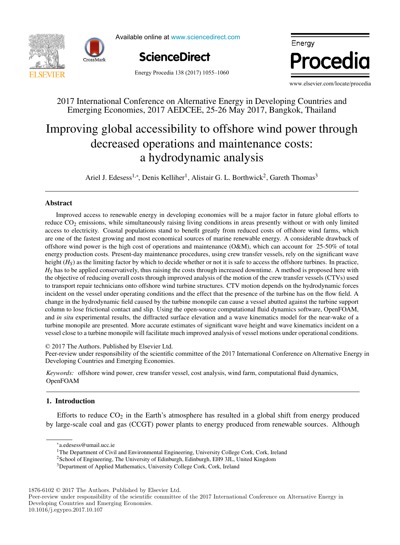



Available online at www.sciencedirect.com



, P. Ferrãoa, P. Ferrãoa, P. Ferrãoa, P. Ferrãoa, P. Ferrãoa, P. Ferrãoa, P. Ferrãoa, P. Ferrãoa, P. Ferrãoa,

rgy **Energy** Procedia Energy ergy<br>Processed and the set of the set of the set of the set of the set of the set of the set of the set of the set o  $\ddotsc$ Energy. ww.elsevier.com/locate/procediment/conference on Alternational Countries and Alternative Energy in Developing Countries and Alternative Countries and Alternative Countries and Alternative Countries and Alternative Countrie ww.elsevier.com/locate/procedia.com/

Energy

Procedia

Energy Procedia 138 (2017) 1055-1060

www.elsevier.com/locate/procedia  $\frac{1}{2}$  WWW elsevier com/

,  $\frac{1}{2}$ 

# 2017 International Conference on Alternative Energy in Developing Countries and Emerging Economies, 2017 AEDCEE, 25-26 May 2017, Bangkok, Thailand 2017 International Conference on Alternative Energy in Developing Countries and

#### Improving global accessibility to offshore wind power through a hydrodynamic analysis decreased operations and maintenance costs: Improving global accessibility to offshore wind power through g groom accessionity to offshore wind power reperations and manierance costs. a ny droughanno anary 515

temperature function for a long-term district heat demand forecast a hydrodynamic analysis  $,$  Denis Kelliher<sub>2</sub>, Alistair G. L. Borthwick<sub>2</sub>, Gareth Thomas Ariel J. Edesess<sup>1,∗</sup>, Denis Kelliher<sup>1</sup>, Alistair G. L. Borthwick<sup>2</sup>, Gareth Thomas<sup>3</sup>

, J. Fournier<br>1990 - John Britannier<br>1990 - John Britannier

, Denis Kelliher, Alistair G. L. Borthwick, Gareth Thomas 3, Gareth Thomas 3, Gareth Thomas 3, Gareth Thomas 3, Gareth Thomas 3, Gareth Thomas 3, Gareth Thomas 3, Gareth Thomas 3, Gareth Thomas 3, Gareth Thomas 3, Gareth

., B. Lacarrièrec de la carrière de la carrière.<br>Barcarrière de la carrière de la carrière de la carrière de la carrière de la carrière de la carrière de la ca

#### *IN+ Center for Innovation, Technology and Policy Research - Instituto Superior Técnico, Av. Rovisco Pais 1, 1049-001 Lisbon, Portugal* Abstract

<u>I. Andrićanski politič</u>

Improved access to renewable energy in developing economies will be a major factor in future global efforts to reduce  $CO_2$  emissions, while simultaneously raising living conditions in areas presently without or with only limited **Abstract**  $H_S$  has to be applied conservatively, thus raising the costs through increased downtime. A method is proposed here with the objective of reducing overall costs through improved analysis of the motion of the crew transfer vessels (CTVs) used to transport repair technicians onto offshore wind turbine structures. CTV motion depends on the hydrodynamic forces incident on the vessel under operating conditions and the effect that the presence of the turbine has on the flow field. A change in the hydrodynamic field caused by the turbine monopile can cause a vessel abutted against the turbine support column to lose frictional contact and slip. Using the open-source computational fluid dynamics software, OpenFOAM, and *in situ* experimental results, the diffracted surface elevation and a wave kinematics model for the near-wake of a turbine monopile are presented. More accurate estimates of significant wave height and wave kinematics incident on a turbine monopile are presented. More accurate estimates of significant wave height and wave kinematics incident on a<br>vessel close to a turbine monopile will facilitate much improved analysis of vessel motions under operati The results showed that when only weather change is considered, the margin of error could be acceptable for some applications of error could be acceptable for some applications of  $\mathbf{r}$ offshore wind power is the high cost of operations and maintenance (O&M), which can account for 25-50% of total energy production costs. Present-day maintenance procedures, using crew transfer vessels, rely on the significant wave height  $(H_S)$  as the limiting factor by which to decide whether or not it is safe to access the offshore turbines. In practice,  $\frac{access}{1}$ column to lose frictional contact and slip. Using the open-source computational fluid dynamics software, OpenFOAM, access to electricity. Coastal populations stand to benefit greatly from reduced costs of offshore wind farms, which are one of the fastest growing and most economical sources of marine renewable energy. A considerable drawback of

© 2017 The Authors. Published by Elsevier Ltd. and *in situ* experimental results, the diffracted surface elevation and a wave kinematics model for the near-wake of a

a,b,c\*, A. Pinaa

Ariel J. Edesess1,<sup>∗</sup>

Peer-review under responsibility of the scientific committee of the 2017 International Conference on Alternative Energy in Developing Countries and Emerging Economies. Peer-review under responsibility of the scientific committee of the 2017 International Conference on Alternative Energ<br>Daveloping Countries and Emerging Economies turbine monopile are presented. More accurate estimates of significant wave height and wave kinematics incident on a  $\approx$  2017 The Authors. Published by Eisevier Eta.<br> $\approx$  3017 Fig. inc. wave kinematics incident on and wave kinematics incident on a strategies in and wave kinematics incident on and wave kinematics incident on a strategie verselve will facilitate to a turbine monophile will facilitate the conditions of version of version and conditions under  $\alpha$  and  $\alpha$  $\otimes$  2017 The Authors. I ubilished by  $\sum_{n=1}^{\infty}$ 

Keywords: offshore wind power, crew transfer vessel, cost analysis, wind farm, computational fluid dynamics,  $r_{\text{O}}$  on the other hand, function intercept intercept intercept increased for 7.8-12.7% per decade (depending on the  $\alpha$ coupled scenarios). The values suggested could be used to modify the function parameters for the scenarios considered, and OpenFOAM *Keywords:* offshore wind power, crew transfer vessel, cost analysis, wind farm, computational fluid dynamics,

*Keywords:* offshore wind power, crew transfer vessel, cost analysis, wind farm, computational fluid dynamics,

#### **Keywords:** offshore wind power, contains the contains of the contains of the contains of the computational fluid dynamics, wind fluid dynamics, wind fluid dynamics, wind fluid dynamics, wind dynamics, wind dynamics, wind 1. Introduction <u>OpenFoammen</u> <u>1. International Companies (International Companies (International Companies (International Companies (International Companies (International Companies (International Companies (International Companies (International Comp</u> Effection  $\mathbf{F}$

 $\Gamma$  $C$   $\Gamma$   $\sim$   $\Gamma$   $\sim$   $\Gamma$   $\sim$   $\Gamma$   $\sim$   $\Gamma$   $\sim$   $\Gamma$  $P_{\text{eff}}$  and  $P_{\text{eff}}$  and  $P_{\text{eff}}$  international Symposium on  $P_{\text{eff}}$  is the  $P_{\text{eff}}$  produced  $P_{\text{eff}}$ o y Efforts to reduce  $CO_2$  in the Earth's atmosphere has resulted in a global shift from energy produced 1. Introduction <sub>1</sub>. Interior to 10 by large-scale coal and gas (CCGT) power plants to energy produced from renewable sources. Although

by large-scale coal and gas (CCGT) power plants to energy produced from renewable sources. Although

 $\mathbb{E}[\mathbf{E}^{(1)}]$  in the Earth's atmosphere has resulted in a global shift from energy produced in a global shift from energy produced in a global shift from energy produced in a global shift from energy produced in a g

c 2017 Published by Elsevier Ltd.

1876-6102  $\odot$  2017 The Authors. Published by Elsevier Ltd.

10.1016/j.egypro.2017.10.107

 $*<sub>a.edesess</sub> @umail. ucc.ie$  $\text{*}$ a.edesess@umail.ucc.ie<br>1-

<sup>&</sup>lt;sup>1</sup>The Department of Civil and Environmental Engineering, University College Cork, Cork, Ireland

<sup>&</sup>lt;sup>2</sup>School of Engineering, The University of Edinburgh, Edinburgh, EH9 3JL, United Kingdom

<sup>∗</sup>a.edesess@umail.ucc.ie 1The Department of Civil and Environmental Engineering, University College Cork, Cork, Ireland 3Department of Applied Mathematics, University College Cork, Cork, Ireland1The Department of Civil and Environmental Engineering, University College Cork, Cork, Ireland 2School of Engineering, The University of Edinburgh, Edinburgh, EH9 3JL, United Kingdom

Peer-review under responsibility of the scientific committee of the 2017 International Conference on Alternative Energy in Developing Countries and Emerging Economies.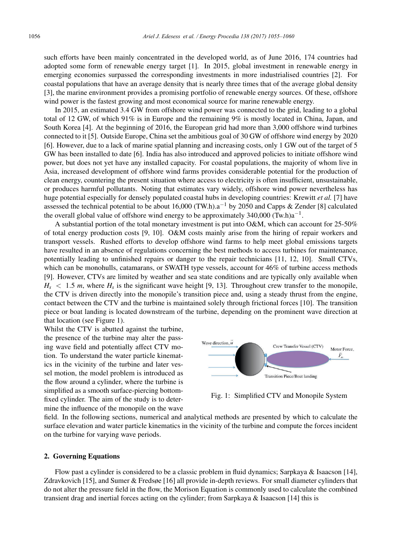such efforts have been mainly concentrated in the developed world, as of June 2016, 174 countries had adopted some form of renewable energy target [1]. In 2015, global investment in renewable energy in emerging economies surpassed the corresponding investments in more industrialised countries [2]. For coastal populations that have an average density that is nearly three times that of the average global density [3], the marine environment provides a promising portfolio of renewable energy sources. Of these, offshore wind power is the fastest growing and most economical source for marine renewable energy.

In 2015, an estimated 3.4 GW from offshore wind power was connected to the grid, leading to a global total of 12 GW, of which 91% is in Europe and the remaining 9% is mostly located in China, Japan, and South Korea [4]. At the beginning of 2016, the European grid had more than 3,000 offshore wind turbines connected to it [5]. Outside Europe, China set the ambitious goal of 30 GW of offshore wind energy by 2020 [6]. However, due to a lack of marine spatial planning and increasing costs, only 1 GW out of the target of 5 GW has been installed to date [6]. India has also introduced and approved policies to initiate offshore wind power, but does not yet have any installed capacity. For coastal populations, the majority of whom live in Asia, increased development of offshore wind farms provides considerable potential for the production of clean energy, countering the present situation where access to electricity is often insufficient, unsustainable, or produces harmful pollutants. Noting that estimates vary widely, offshore wind power nevertheless has huge potential especially for densely populated coastal hubs in developing countries: Krewitt *et al.* [7] have assessed the technical potential to be about 16,000 (TW.h).a<sup>-1</sup> by 2050 and Capps & Zender [8] calculated the overall global value of offshore wind energy to be approximately 340,000 (Tw.h) $a^{-1}$ .

A substantial portion of the total monetary investment is put into O&M, which can account for 25-50% of total energy production costs [9, 10]. O&M costs mainly arise from the hiring of repair workers and transport vessels. Rushed efforts to develop offshore wind farms to help meet global emissions targets have resulted in an absence of regulations concerning the best methods to access turbines for maintenance, potentially leading to unfinished repairs or danger to the repair technicians [11, 12, 10]. Small CTVs, which can be monohulls, catamarans, or SWATH type vessels, account for 46% of turbine access methods [9]. However, CTVs are limited by weather and sea state conditions and are typically only available when  $H_s$  < 1.5 *m*, where  $H_s$  is the significant wave height [9, 13]. Throughout crew transfer to the monopile, the CTV is driven directly into the monopile's transition piece and, using a steady thrust from the engine, contact between the CTV and the turbine is maintained solely through frictional forces [10]. The transition piece or boat landing is located downstream of the turbine, depending on the prominent wave direction at that location (see Figure 1).

Whilst the CTV is abutted against the turbine, the presence of the turbine may alter the passing wave field and potentially affect CTV motion. To understand the water particle kinematics in the vicinity of the turbine and later vessel motion, the model problem is introduced as the flow around a cylinder, where the turbine is simplified as a smooth surface-piercing bottomfixed cylinder. The aim of the study is to determine the influence of the monopile on the wave



Fig. 1: Simplified CTV and Monopile System

field. In the following sections, numerical and analytical methods are presented by which to calculate the surface elevation and water particle kinematics in the vicinity of the turbine and compute the forces incident on the turbine for varying wave periods.

#### 2. Governing Equations

Flow past a cylinder is considered to be a classic problem in fluid dynamics; Sarpkaya & Isaacson [14], Zdravkovich [15], and Sumer & Fredsøe [16] all provide in-depth reviews. For small diameter cylinders that do not alter the pressure field in the flow, the Morison Equation is commonly used to calculate the combined transient drag and inertial forces acting on the cylinder; from Sarpkaya & Isaacson [14] this is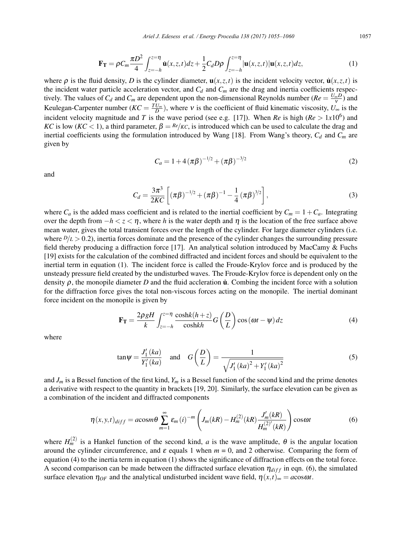$$
\mathbf{F}_{\mathbf{T}} = \rho C_m \frac{\pi D^2}{4} \int_{z=-h}^{z=\eta} \dot{\mathbf{u}}(x, z, t) dz + \frac{1}{2} C_d D \rho \int_{z=-h}^{z=\eta} |\mathbf{u}(x, z, t)| \mathbf{u}(x, z, t) dz,
$$
 (1)

where  $\rho$  is the fluid density, *D* is the cylinder diameter,  $\mathbf{u}(x, z, t)$  is the incident velocity vector,  $\mathbf{u}(x, z, t)$  is the incident water particle acceleration vector, and  $C_d$  and  $C_m$  are the drag and inertia coefficients respectively. The values of  $C_d$  and  $C_m$  are dependent upon the non-dimensional Reynolds number ( $Re = \frac{U_\infty D}{v}$ ) and Keulegan-Carpenter number  $(KC = \frac{TU_{\infty}}{D})$ , where v is the coefficient of fluid kinematic viscosity,  $U_{\infty}$  is the incident velocity magnitude and *T* is the wave period (see e.g. [17]). When *Re* is high ( $Re > 1x10^6$ ) and *KC* is low (*KC* < 1), a third parameter,  $\beta = \frac{Re}{KC}$ , is introduced which can be used to calculate the drag and inertial coefficients using the formulation introduced by Wang [18]. From Wang's theory,  $C_d$  and  $C_m$  are given by

$$
C_a = 1 + 4\left(\pi\beta\right)^{-1/2} + \left(\pi\beta\right)^{-3/2} \tag{2}
$$

and

$$
C_d = \frac{3\pi^3}{2KC} \left[ (\pi\beta)^{-1/2} + (\pi\beta)^{-1} - \frac{1}{4} (\pi\beta)^{3/2} \right],
$$
 (3)

where  $C_a$  is the added mass coefficient and is related to the inertial coefficient by  $C_m = 1 + C_a$ . Integrating over the depth from  $-h < z < \eta$ , where h is the water depth and  $\eta$  is the location of the free surface above mean water, gives the total transient forces over the length of the cylinder. For large diameter cylinders (i.e. where  $D/L > 0.2$ ), inertia forces dominate and the presence of the cylinder changes the surrounding pressure field thereby producing a diffraction force [17]. An analytical solution introduced by MacCamy & Fuchs [19] exists for the calculation of the combined diffracted and incident forces and should be equivalent to the inertial term in equation (1). The incident force is called the Froude-Krylov force and is produced by the unsteady pressure field created by the undisturbed waves. The Froude-Krylov force is dependent only on the density  $\rho$ , the monopile diameter *D* and the fluid accleration **u**<sup>.</sup> Combing the incident force with a solution for the diffraction force gives the total non-viscous forces acting on the monopile. The inertial dominant force incident on the monopile is given by

$$
\mathbf{F_T} = \frac{2\rho gH}{k} \int_{z=-h}^{z=\eta} \frac{\cosh(k(h+z))}{\cosh kh} G\left(\frac{D}{L}\right) \cos\left(\omega t - \psi\right) dz \tag{4}
$$

where

$$
\tan \psi = \frac{J_1'(ka)}{Y_1'(ka)} \quad \text{and} \quad G\left(\frac{D}{L}\right) = \frac{1}{\sqrt{J_1'(ka)^2 + Y_1'(ka)^2}} \tag{5}
$$

and  $J_m$  is a Bessel function of the first kind,  $Y_m$  is a Bessel function of the second kind and the prime denotes a derivative with respect to the quantity in brackets [19, 20]. Similarly, the surface elevation can be given as a combination of the incident and diffracted components

$$
\eta(x, y, t)_{diff} = a \cos m\theta \sum_{m=1}^{\infty} \varepsilon_m (i)^{-m} \left( J_m(kR) - H_m^{(2)}(kR) \frac{J'_m(kR)}{H_m^{(2)'}(kR)} \right) \cos \omega t \tag{6}
$$

where  $H_m^{(2)}$  is a Hankel function of the second kind, *a* is the wave amplitude,  $\theta$  is the angular location around the cylinder circumference, and  $\varepsilon$  equals 1 when  $m = 0$ , and 2 otherwise. Comparing the form of equation (4) to the inertia term in equation (1) shows the significance of diffraction effects on the total force. A second comparison can be made between the diffracted surface elevation  $\eta_{diff}$  in eqn. (6), the simulated surface elevation  $\eta_{OF}$  and the analytical undisturbed incident wave field,  $\eta(x,t)_{\infty} = a \cos \omega t$ .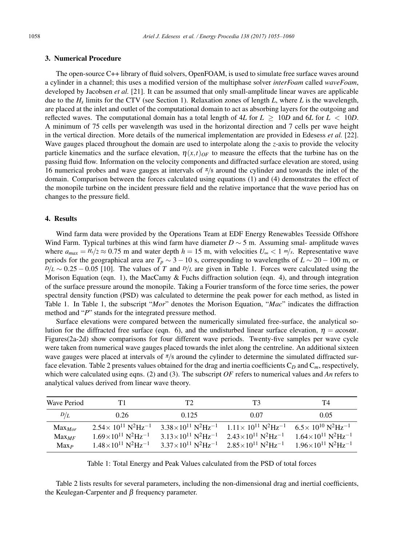### 3. Numerical Procedure

The open-source C++ library of fluid solvers, OpenFOAM, is used to simulate free surface waves around a cylinder in a channel; this uses a modified version of the multiphase solver *interFoam* called *waveFoam*, developed by Jacobsen *et al.* [21]. It can be assumed that only small-amplitude linear waves are applicable due to the  $H_s$  limits for the CTV (see Section 1). Relaxation zones of length  $L$ , where  $L$  is the wavelength, are placed at the inlet and outlet of the computational domain to act as absorbing layers for the outgoing and reflected waves. The computational domain has a total length of  $4L$  for  $L \geq 10D$  and  $6L$  for  $L < 10D$ . A minimum of 75 cells per wavelength was used in the horizontal direction and 7 cells per wave height in the vertical direction. More details of the numerical implementation are provided in Edesess *et al.* [22]. Wave gauges placed throughout the domain are used to interpolate along the *z*-axis to provide the velocity particle kinematics and the surface elevation,  $\eta(x,t)_{OF}$  to measure the effects that the turbine has on the passing fluid flow. Information on the velocity components and diffracted surface elevation are stored, using 16 numerical probes and wave gauges at intervals of  $\pi/s$  around the cylinder and towards the inlet of the domain. Comparison between the forces calculated using equations (1) and (4) demonstrates the effect of the monopile turbine on the incident pressure field and the relative importance that the wave period has on changes to the pressure field.

### 4. Results

Wind farm data were provided by the Operations Team at EDF Energy Renewables Teesside Offshore Wind Farm. Typical turbines at this wind farm have diameter *D* ∼ 5 m. Assuming smal- amplitude waves where  $a_{max} = H_s/2 \approx 0.75$  m and water depth  $h = 15$  m, with velocities  $U_{\infty} < 1$  m/s. Representative wave periods for the geographical area are  $T_p \sim 3 - 10$  s, corresponding to wavelengths of  $L \sim 20 - 100$  m, or  $D/L \sim 0.25 - 0.05$  [10]. The values of *T* and  $D/L$  are given in Table 1. Forces were calculated using the Morison Equation (eqn. 1), the MacCamy & Fuchs diffraction solution (eqn. 4), and through integration of the surface pressure around the monopile. Taking a Fourier transform of the force time series, the power spectral density function (PSD) was calculated to determine the peak power for each method, as listed in Table 1. In Table 1, the subscript "*Mor*" denotes the Morison Equation, "*Mac*" indicates the diffraction method and "*P*" stands for the integrated pressure method.

Surface elevations were compared between the numerically simulated free-surface, the analytical solution for the diffracted free surface (eqn. 6), and the undisturbed linear surface elevation,  $\eta = a \cos \omega t$ . Figures(2a-2d) show comparisons for four different wave periods. Twenty-five samples per wave cycle were taken from numerical wave gauges placed towards the inlet along the centreline. An additional sixteen wave gauges were placed at intervals of  $\pi/s$  around the cylinder to determine the simulated diffracted surface elevation. Table 2 presents values obtained for the drag and inertia coefficients C*<sup>D</sup>* and C*m*, respectively, which were calculated using eqns. (2) and (3). The subscript *OF* refers to numerical values and *An* refers to analytical values derived from linear wave theory.

| Wave Period                            | Τ1                                                                                                                                                             | T2                                                                                                                                                                | TЗ                                                                                                                                                             | Τ4                                                                                                                                                                                      |
|----------------------------------------|----------------------------------------------------------------------------------------------------------------------------------------------------------------|-------------------------------------------------------------------------------------------------------------------------------------------------------------------|----------------------------------------------------------------------------------------------------------------------------------------------------------------|-----------------------------------------------------------------------------------------------------------------------------------------------------------------------------------------|
| D/L                                    | 0.26                                                                                                                                                           | 0.125                                                                                                                                                             | 0.07                                                                                                                                                           | 0.05                                                                                                                                                                                    |
| $Max_{Mor}$<br>$Max_{MF}$<br>$Max_{P}$ | $2.54 \times 10^{11} \text{ N}^2 \text{Hz}^{-1}$<br>$1.69\times10^{11}$ N <sup>2</sup> Hz <sup>-1</sup><br>$1.48\times10^{11}$ N <sup>2</sup> Hz <sup>-1</sup> | $3.38\times10^{11}$ N <sup>2</sup> Hz <sup>-1</sup><br>$3.13\times10^{11}$ N <sup>2</sup> Hz <sup>-1</sup><br>$3.37\times10^{11}$ N <sup>2</sup> Hz <sup>-1</sup> | $1.11 \times 10^{11} \text{ N}^2 \text{Hz}^{-1}$<br>$2.43\times10^{11}$ N <sup>2</sup> Hz <sup>-1</sup><br>$2.85\times10^{11}$ N <sup>2</sup> Hz <sup>-1</sup> | 6.5 $\times$ 10 <sup>10</sup> N <sup>2</sup> H <sub>z</sub> <sup>-1</sup><br>$1.64\times10^{11}$ N <sup>2</sup> Hz <sup>-1</sup><br>$1.96\times10^{11}$ N <sup>2</sup> Hz <sup>-1</sup> |

Table 1: Total Energy and Peak Values calculated from the PSD of total forces

Table 2 lists results for several parameters, including the non-dimensional drag and inertial coefficients, the Keulegan-Carpenter and  $β$  frequency parameter.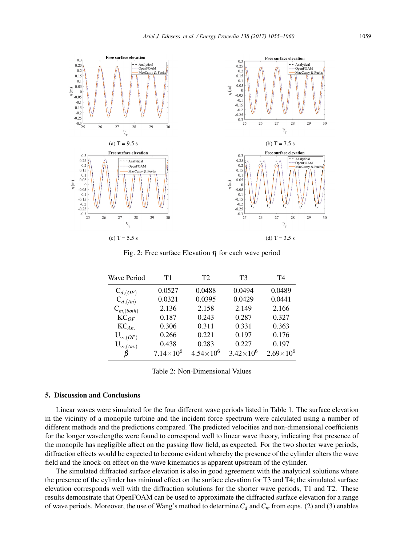

Fig. 2: Free surface Elevation  $\eta$  for each wave period

| <b>Wave Period</b> | T1                 | T <sub>2</sub>       | T3                   | T4                 |
|--------------------|--------------------|----------------------|----------------------|--------------------|
| $C_{d, (OF)}$      | 0.0527             | 0.0488               | 0.0494               | 0.0489             |
| $C_{d,(An)}$       | 0.0321             | 0.0395               | 0.0429               | 0.0441             |
| $C_{m, (both)}$    | 2.136              | 2.158                | 2.149                | 2.166              |
| $KC_{OF}$          | 0.187              | 0.243                | 0.287                | 0.327              |
| $KC_{An.}$         | 0.306              | 0.311                | 0.331                | 0.363              |
| $U_{\infty, (OF)}$ | 0.266              | 0.221                | 0.197                | 0.176              |
| $U_{\infty,(An.)}$ | 0.438              | 0.283                | 0.227                | 0.197              |
|                    | $7.14 \times 10^6$ | $4.54 \times 10^{6}$ | $3.42 \times 10^{6}$ | $2.69\times10^{6}$ |

Table 2: Non-Dimensional Values

## 5. Discussion and Conclusions

Linear waves were simulated for the four different wave periods listed in Table 1. The surface elevation in the vicinity of a monopile turbine and the incident force spectrum were calculated using a number of different methods and the predictions compared. The predicted velocities and non-dimensional coefficients for the longer wavelengths were found to correspond well to linear wave theory, indicating that presence of the monopile has negligible affect on the passing flow field, as expected. For the two shorter wave periods, diffraction effects would be expected to become evident whereby the presence of the cylinder alters the wave field and the knock-on effect on the wave kinematics is apparent upstream of the cylinder.

The simulated diffracted surface elevation is also in good agreement with the analytical solutions where the presence of the cylinder has minimal effect on the surface elevation for T3 and T4; the simulated surface elevation corresponds well with the diffraction solutions for the shorter wave periods, T1 and T2. These results demonstrate that OpenFOAM can be used to approximate the diffracted surface elevation for a range of wave periods. Moreover, the use of Wang's method to determine  $C_d$  and  $C_m$  from eqns. (2) and (3) enables